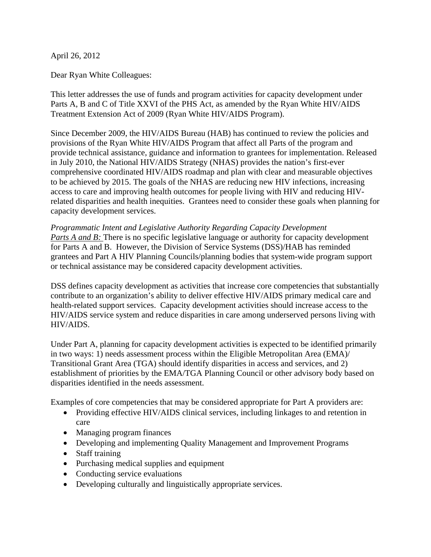April 26, 2012

Dear Ryan White Colleagues:

This letter addresses the use of funds and program activities for capacity development under Parts A, B and C of Title XXVI of the PHS Act, as amended by the Ryan White HIV/AIDS Treatment Extension Act of 2009 (Ryan White HIV/AIDS Program).

Since December 2009, the HIV/AIDS Bureau (HAB) has continued to review the policies and provisions of the Ryan White HIV/AIDS Program that affect all Parts of the program and provide technical assistance, guidance and information to grantees for implementation. Released in July 2010, the National HIV/AIDS Strategy (NHAS) provides the nation's first-ever comprehensive coordinated HIV/AIDS roadmap and plan with clear and measurable objectives to be achieved by 2015. The goals of the NHAS are reducing new HIV infections, increasing access to care and improving health outcomes for people living with HIV and reducing HIVrelated disparities and health inequities. Grantees need to consider these goals when planning for capacity development services.

*Programmatic Intent and Legislative Authority Regarding Capacity Development Parts A and B:* There is no specific legislative language or authority for capacity development for Parts A and B. However, the Division of Service Systems (DSS)/HAB has reminded grantees and Part A HIV Planning Councils/planning bodies that system-wide program support or technical assistance may be considered capacity development activities.

DSS defines capacity development as activities that increase core competencies that substantially contribute to an organization's ability to deliver effective HIV/AIDS primary medical care and health-related support services. Capacity development activities should increase access to the HIV/AIDS service system and reduce disparities in care among underserved persons living with HIV/AIDS.

Under Part A, planning for capacity development activities is expected to be identified primarily in two ways: 1) needs assessment process within the Eligible Metropolitan Area (EMA)/ Transitional Grant Area (TGA) should identify disparities in access and services, and 2) establishment of priorities by the EMA/TGA Planning Council or other advisory body based on disparities identified in the needs assessment.

Examples of core competencies that may be considered appropriate for Part A providers are:

- Providing effective HIV/AIDS clinical services, including linkages to and retention in care
- Managing program finances
- Developing and implementing Quality Management and Improvement Programs
- Staff training
- Purchasing medical supplies and equipment
- Conducting service evaluations
- Developing culturally and linguistically appropriate services.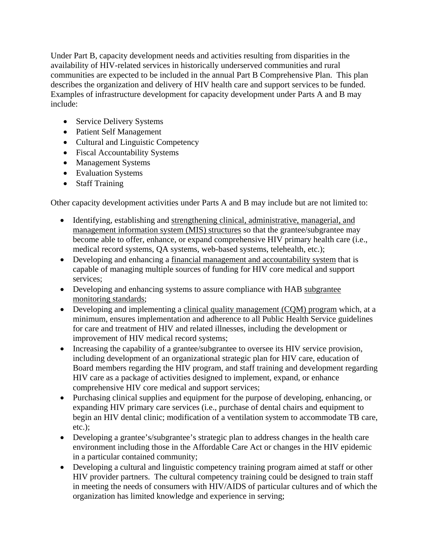Under Part B, capacity development needs and activities resulting from disparities in the availability of HIV-related services in historically underserved communities and rural communities are expected to be included in the annual Part B Comprehensive Plan. This plan describes the organization and delivery of HIV health care and support services to be funded. Examples of infrastructure development for capacity development under Parts A and B may include:

- Service Delivery Systems
- Patient Self Management
- Cultural and Linguistic Competency
- Fiscal Accountability Systems
- Management Systems
- Evaluation Systems
- Staff Training

Other capacity development activities under Parts A and B may include but are not limited to:

- Identifying, establishing and strengthening clinical, administrative, managerial, and management information system (MIS) structures so that the grantee/subgrantee may become able to offer, enhance, or expand comprehensive HIV primary health care (i.e., medical record systems, QA systems, web-based systems, telehealth, etc.);
- Developing and enhancing a financial management and accountability system that is capable of managing multiple sources of funding for HIV core medical and support services;
- Developing and enhancing systems to assure compliance with HAB subgrantee monitoring standards;
- Developing and implementing a clinical quality management (CQM) program which, at a minimum, ensures implementation and adherence to all Public Health Service guidelines for care and treatment of HIV and related illnesses, including the development or improvement of HIV medical record systems;
- Increasing the capability of a grantee/subgrantee to oversee its HIV service provision, including development of an organizational strategic plan for HIV care, education of Board members regarding the HIV program, and staff training and development regarding HIV care as a package of activities designed to implement, expand, or enhance comprehensive HIV core medical and support services;
- Purchasing clinical supplies and equipment for the purpose of developing, enhancing, or expanding HIV primary care services (i.e., purchase of dental chairs and equipment to begin an HIV dental clinic; modification of a ventilation system to accommodate TB care, etc.);
- Developing a grantee's/subgrantee's strategic plan to address changes in the health care environment including those in the Affordable Care Act or changes in the HIV epidemic in a particular contained community;
- Developing a cultural and linguistic competency training program aimed at staff or other HIV provider partners. The cultural competency training could be designed to train staff in meeting the needs of consumers with HIV/AIDS of particular cultures and of which the organization has limited knowledge and experience in serving;